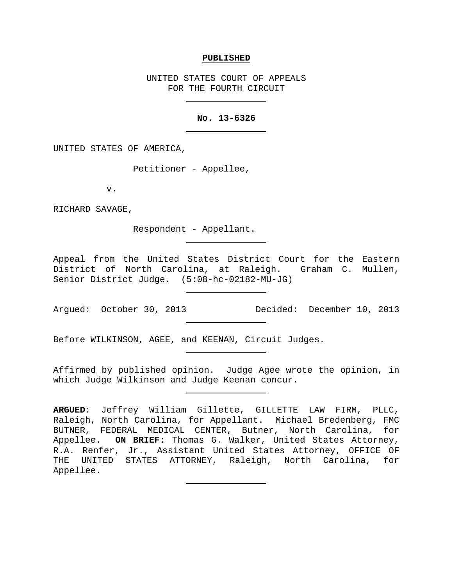#### **PUBLISHED**

UNITED STATES COURT OF APPEALS FOR THE FOURTH CIRCUIT

### **No. 13-6326**

UNITED STATES OF AMERICA,

Petitioner - Appellee,

v.

RICHARD SAVAGE,

Respondent - Appellant.

Appeal from the United States District Court for the Eastern District of North Carolina, at Raleigh. Graham C. Mullen, Senior District Judge. (5:08-hc-02182-MU-JG)

Argued: October 30, 2013 Decided: December 10, 2013

Before WILKINSON, AGEE, and KEENAN, Circuit Judges.

Affirmed by published opinion. Judge Agee wrote the opinion, in which Judge Wilkinson and Judge Keenan concur.

**ARGUED**: Jeffrey William Gillette, GILLETTE LAW FIRM, PLLC, Raleigh, North Carolina, for Appellant. Michael Bredenberg, FMC BUTNER, FEDERAL MEDICAL CENTER, Butner, North Carolina, for Appellee. **ON BRIEF**: Thomas G. Walker, United States Attorney, R.A. Renfer, Jr., Assistant United States Attorney, OFFICE OF THE UNITED STATES ATTORNEY, Raleigh, North Carolina, for Appellee.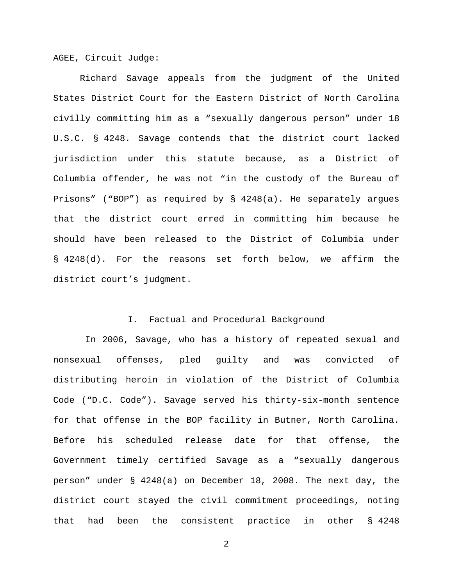AGEE, Circuit Judge:

Richard Savage appeals from the judgment of the United States District Court for the Eastern District of North Carolina civilly committing him as a "sexually dangerous person" under 18 U.S.C. § 4248. Savage contends that the district court lacked jurisdiction under this statute because, as a District of Columbia offender, he was not "in the custody of the Bureau of Prisons" ("BOP") as required by § 4248(a). He separately argues that the district court erred in committing him because he should have been released to the District of Columbia under § 4248(d). For the reasons set forth below, we affirm the district court's judgment.

# I. Factual and Procedural Background

In 2006, Savage, who has a history of repeated sexual and nonsexual offenses, pled guilty and was convicted of distributing heroin in violation of the District of Columbia Code ("D.C. Code"). Savage served his thirty-six-month sentence for that offense in the BOP facility in Butner, North Carolina. Before his scheduled release date for that offense, the Government timely certified Savage as a "sexually dangerous person" under § 4248(a) on December 18, 2008. The next day, the district court stayed the civil commitment proceedings, noting that had been the consistent practice in other § 4248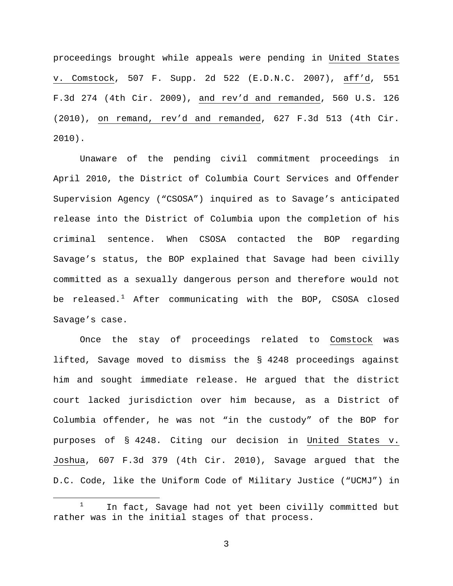proceedings brought while appeals were pending in United States v. Comstock, 507 F. Supp. 2d 522 (E.D.N.C. 2007), aff'd, 551 F.3d 274 (4th Cir. 2009), and rev'd and remanded, 560 U.S. 126 (2010), on remand, rev'd and remanded, 627 F.3d 513 (4th Cir. 2010).

Unaware of the pending civil commitment proceedings in April 2010, the District of Columbia Court Services and Offender Supervision Agency ("CSOSA") inquired as to Savage's anticipated release into the District of Columbia upon the completion of his criminal sentence. When CSOSA contacted the BOP regarding Savage's status, the BOP explained that Savage had been civilly committed as a sexually dangerous person and therefore would not be released.<sup>[1](#page-2-0)</sup> After communicating with the BOP, CSOSA closed Savage's case.

Once the stay of proceedings related to Comstock was lifted, Savage moved to dismiss the § 4248 proceedings against him and sought immediate release. He argued that the district court lacked jurisdiction over him because, as a District of Columbia offender, he was not "in the custody" of the BOP for purposes of § 4248. Citing our decision in United States v. Joshua, 607 F.3d 379 (4th Cir. 2010), Savage argued that the D.C. Code, like the Uniform Code of Military Justice ("UCMJ") in

<span id="page-2-0"></span> $1$  In fact, Savage had not yet been civilly committed but rather was in the initial stages of that process.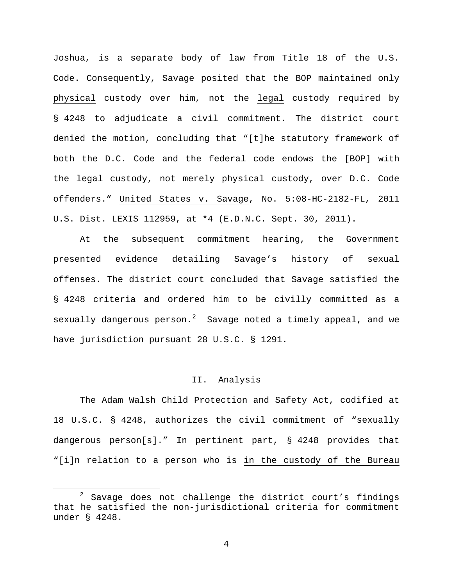Joshua, is a separate body of law from Title 18 of the U.S. Code. Consequently, Savage posited that the BOP maintained only physical custody over him, not the legal custody required by § 4248 to adjudicate a civil commitment. The district court denied the motion, concluding that "[t]he statutory framework of both the D.C. Code and the federal code endows the [BOP] with the legal custody, not merely physical custody, over D.C. Code offenders." United States v. Savage, No. 5:08-HC-2182-FL, 2011 U.S. Dist. LEXIS 112959, at \*4 (E.D.N.C. Sept. 30, 2011).

At the subsequent commitment hearing, the Government presented evidence detailing Savage's history of sexual offenses. The district court concluded that Savage satisfied the § 4248 criteria and ordered him to be civilly committed as a sexually dangerous person.<sup>[2](#page-3-0)</sup> Savage noted a timely appeal, and we have jurisdiction pursuant 28 U.S.C. § 1291.

## II. Analysis

The Adam Walsh Child Protection and Safety Act, codified at 18 U.S.C. § 4248, authorizes the civil commitment of "sexually dangerous person[s]." In pertinent part, § 4248 provides that "[i]n relation to a person who is in the custody of the Bureau

<span id="page-3-0"></span> $2$  Savage does not challenge the district court's findings that he satisfied the non-jurisdictional criteria for commitment under § 4248.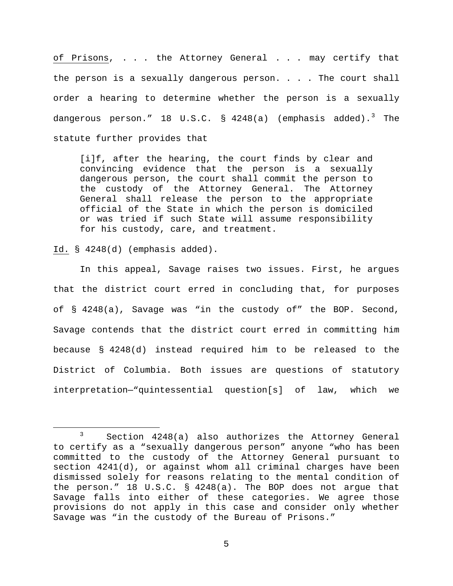of Prisons, . . . the Attorney General . . . may certify that the person is a sexually dangerous person. . . . The court shall order a hearing to determine whether the person is a sexually dangerous person." 18 U.S.C.  $\S$  4248(a) (emphasis added).<sup>[3](#page-4-0)</sup> The statute further provides that

[i]f, after the hearing, the court finds by clear and convincing evidence that the person is a sexually dangerous person, the court shall commit the person to the custody of the Attorney General. The Attorney General shall release the person to the appropriate official of the State in which the person is domiciled or was tried if such State will assume responsibility for his custody, care, and treatment.

Id. § 4248(d) (emphasis added).

In this appeal, Savage raises two issues. First, he argues that the district court erred in concluding that, for purposes of § 4248(a), Savage was "in the custody of" the BOP. Second, Savage contends that the district court erred in committing him because § 4248(d) instead required him to be released to the District of Columbia. Both issues are questions of statutory interpretation—"quintessential question[s] of law, which we

<span id="page-4-0"></span> <sup>3</sup> Section 4248(a) also authorizes the Attorney General to certify as a "sexually dangerous person" anyone "who has been committed to the custody of the Attorney General pursuant to section 4241(d), or against whom all criminal charges have been dismissed solely for reasons relating to the mental condition of the person." 18 U.S.C. § 4248(a). The BOP does not argue that Savage falls into either of these categories. We agree those provisions do not apply in this case and consider only whether Savage was "in the custody of the Bureau of Prisons."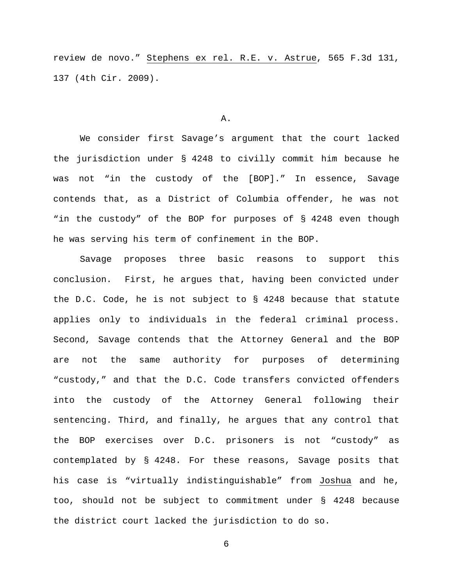review de novo." Stephens ex rel. R.E. v. Astrue, 565 F.3d 131, 137 (4th Cir. 2009).

#### A.

We consider first Savage's argument that the court lacked the jurisdiction under § 4248 to civilly commit him because he was not "in the custody of the [BOP]." In essence, Savage contends that, as a District of Columbia offender, he was not "in the custody" of the BOP for purposes of § 4248 even though he was serving his term of confinement in the BOP.

Savage proposes three basic reasons to support this conclusion. First, he argues that, having been convicted under the D.C. Code, he is not subject to § 4248 because that statute applies only to individuals in the federal criminal process. Second, Savage contends that the Attorney General and the BOP are not the same authority for purposes of determining "custody," and that the D.C. Code transfers convicted offenders into the custody of the Attorney General following their sentencing. Third, and finally, he argues that any control that the BOP exercises over D.C. prisoners is not "custody" as contemplated by § 4248. For these reasons, Savage posits that his case is "virtually indistinguishable" from Joshua and he, too, should not be subject to commitment under § 4248 because the district court lacked the jurisdiction to do so.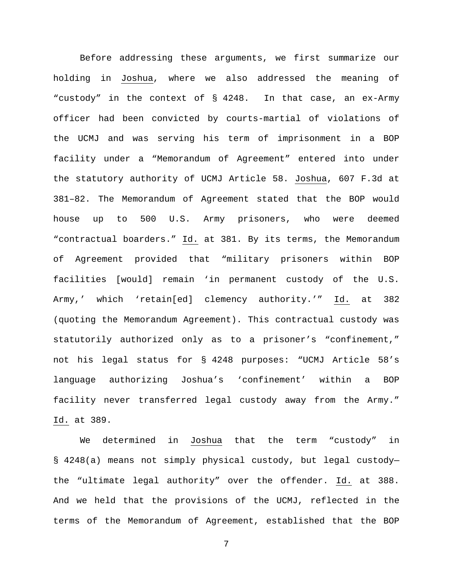Before addressing these arguments, we first summarize our holding in Joshua, where we also addressed the meaning of "custody" in the context of § 4248. In that case, an ex-Army officer had been convicted by courts-martial of violations of the UCMJ and was serving his term of imprisonment in a BOP facility under a "Memorandum of Agreement" entered into under the statutory authority of UCMJ Article 58. Joshua, 607 F.3d at 381–82. The Memorandum of Agreement stated that the BOP would house up to 500 U.S. Army prisoners, who were deemed "contractual boarders." Id. at 381. By its terms, the Memorandum of Agreement provided that "military prisoners within BOP facilities [would] remain 'in permanent custody of the U.S. Army,' which 'retain[ed] clemency authority.'" Id. at 382 (quoting the Memorandum Agreement). This contractual custody was statutorily authorized only as to a prisoner's "confinement," not his legal status for § 4248 purposes: "UCMJ Article 58's language authorizing Joshua's 'confinement' within a BOP facility never transferred legal custody away from the Army." Id. at 389.

We determined in Joshua that the term "custody" in § 4248(a) means not simply physical custody, but legal custody the "ultimate legal authority" over the offender. Id. at 388. And we held that the provisions of the UCMJ, reflected in the terms of the Memorandum of Agreement, established that the BOP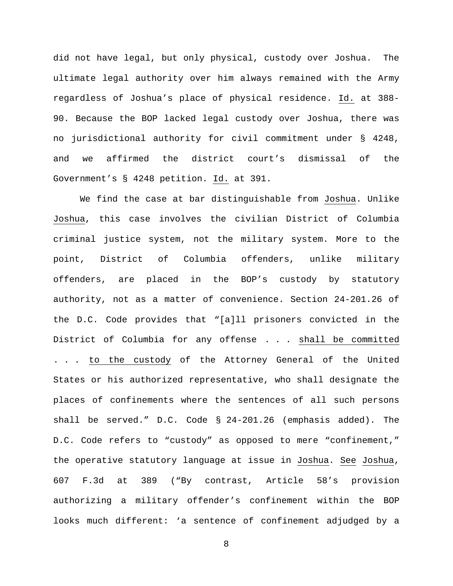did not have legal, but only physical, custody over Joshua. The ultimate legal authority over him always remained with the Army regardless of Joshua's place of physical residence. Id. at 388- 90. Because the BOP lacked legal custody over Joshua, there was no jurisdictional authority for civil commitment under § 4248, and we affirmed the district court's dismissal of the Government's § 4248 petition. Id. at 391.

We find the case at bar distinguishable from Joshua. Unlike Joshua, this case involves the civilian District of Columbia criminal justice system, not the military system. More to the point, District of Columbia offenders, unlike military offenders, are placed in the BOP's custody by statutory authority, not as a matter of convenience. Section 24-201.26 of the D.C. Code provides that "[a]ll prisoners convicted in the District of Columbia for any offense . . . shall be committed . . . to the custody of the Attorney General of the United States or his authorized representative, who shall designate the places of confinements where the sentences of all such persons shall be served." D.C. Code § 24-201.26 (emphasis added). The D.C. Code refers to "custody" as opposed to mere "confinement," the operative statutory language at issue in Joshua. See Joshua, 607 F.3d at 389 ("By contrast, Article 58's provision authorizing a military offender's confinement within the BOP looks much different: 'a sentence of confinement adjudged by a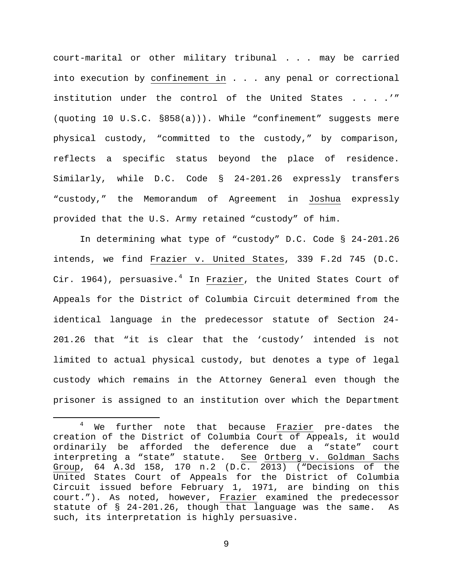court-marital or other military tribunal . . . may be carried into execution by confinement in . . . any penal or correctional institution under the control of the United States . . . .'" (quoting 10 U.S.C. §858(a))). While "confinement" suggests mere physical custody, "committed to the custody," by comparison, reflects a specific status beyond the place of residence. Similarly, while D.C. Code § 24-201.26 expressly transfers "custody," the Memorandum of Agreement in Joshua expressly provided that the U.S. Army retained "custody" of him.

In determining what type of "custody" D.C. Code § 24-201.26 intends, we find Frazier v. United States, 339 F.2d 745 (D.C. Cir. 196[4](#page-8-0)), persuasive.<sup>4</sup> In Frazier, the United States Court of Appeals for the District of Columbia Circuit determined from the identical language in the predecessor statute of Section 24- 201.26 that "it is clear that the 'custody' intended is not limited to actual physical custody, but denotes a type of legal custody which remains in the Attorney General even though the prisoner is assigned to an institution over which the Department

<span id="page-8-0"></span><sup>&</sup>lt;sup>4</sup> We further note that because Frazier pre-dates the creation of the District of Columbia Court of Appeals, it would ordinarily be afforded the deference due a "state" court<br>interpreting a "state" statute. See Ortberg v. Goldman Sachs interpreting a "state" statute. Group, 64 A.3d 158, 170 n.2 (D.C. 2013) ("Decisions of the United States Court of Appeals for the District of Columbia Circuit issued before February 1, 1971, are binding on this court."). As noted, however, Frazier examined the predecessor statute of § 24-201.26, though that language was the same. As such, its interpretation is highly persuasive.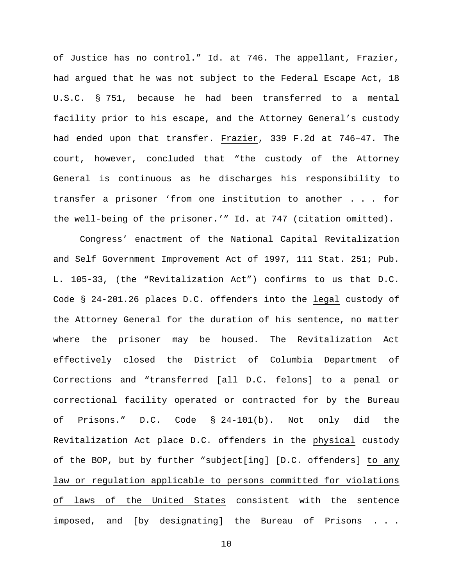of Justice has no control." Id. at 746. The appellant, Frazier, had argued that he was not subject to the Federal Escape Act, 18 U.S.C. § 751, because he had been transferred to a mental facility prior to his escape, and the Attorney General's custody had ended upon that transfer. Frazier, 339 F.2d at 746–47. The court, however, concluded that "the custody of the Attorney General is continuous as he discharges his responsibility to transfer a prisoner 'from one institution to another . . . for the well-being of the prisoner.'" Id. at 747 (citation omitted).

Congress' enactment of the National Capital Revitalization and Self Government Improvement Act of 1997, 111 Stat. 251; Pub. L. 105-33, (the "Revitalization Act") confirms to us that D.C. Code § 24-201.26 places D.C. offenders into the legal custody of the Attorney General for the duration of his sentence, no matter where the prisoner may be housed. The Revitalization Act effectively closed the District of Columbia Department of Corrections and "transferred [all D.C. felons] to a penal or correctional facility operated or contracted for by the Bureau of Prisons." D.C. Code § 24-101(b). Not only did the Revitalization Act place D.C. offenders in the physical custody of the BOP, but by further "subject[ing] [D.C. offenders] to any law or regulation applicable to persons committed for violations of laws of the United States consistent with the sentence imposed, and [by designating] the Bureau of Prisons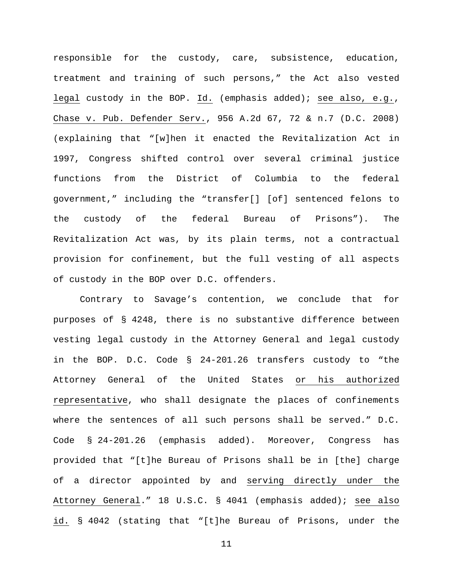responsible for the custody, care, subsistence, education, treatment and training of such persons," the Act also vested legal custody in the BOP. Id. (emphasis added); see also, e.g., Chase v. Pub. Defender Serv., 956 A.2d 67, 72 & n.7 (D.C. 2008) (explaining that "[w]hen it enacted the Revitalization Act in 1997, Congress shifted control over several criminal justice functions from the District of Columbia to the federal government," including the "transfer[] [of] sentenced felons to the custody of the federal Bureau of Prisons"). The Revitalization Act was, by its plain terms, not a contractual provision for confinement, but the full vesting of all aspects of custody in the BOP over D.C. offenders.

Contrary to Savage's contention, we conclude that for purposes of § 4248, there is no substantive difference between vesting legal custody in the Attorney General and legal custody in the BOP. D.C. Code § 24-201.26 transfers custody to "the Attorney General of the United States or his authorized representative, who shall designate the places of confinements where the sentences of all such persons shall be served." D.C. Code § 24-201.26 (emphasis added). Moreover, Congress has provided that "[t]he Bureau of Prisons shall be in [the] charge of a director appointed by and serving directly under the Attorney General." 18 U.S.C. § 4041 (emphasis added); see also id. § 4042 (stating that "[t]he Bureau of Prisons, under the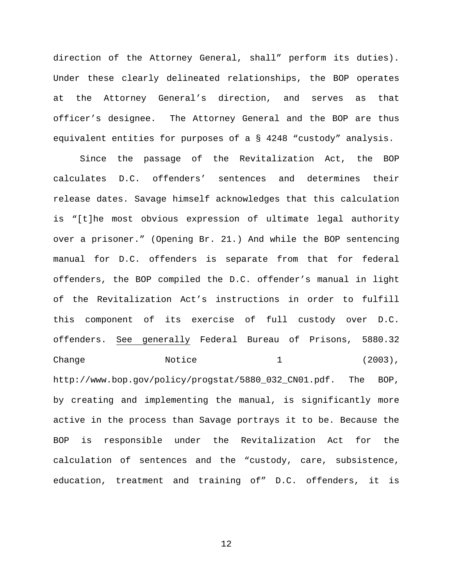direction of the Attorney General, shall" perform its duties). Under these clearly delineated relationships, the BOP operates at the Attorney General's direction, and serves as that officer's designee. The Attorney General and the BOP are thus equivalent entities for purposes of a § 4248 "custody" analysis.

Since the passage of the Revitalization Act, the BOP calculates D.C. offenders' sentences and determines their release dates. Savage himself acknowledges that this calculation is "[t]he most obvious expression of ultimate legal authority over a prisoner." (Opening Br. 21.) And while the BOP sentencing manual for D.C. offenders is separate from that for federal offenders, the BOP compiled the D.C. offender's manual in light of the Revitalization Act's instructions in order to fulfill this component of its exercise of full custody over D.C. offenders. See generally Federal Bureau of Prisons, 5880.32  $Change$   $Notice$   $1$  (2003), http://www.bop.gov/policy/progstat/5880\_032\_CN01.pdf. The BOP, by creating and implementing the manual, is significantly more active in the process than Savage portrays it to be. Because the BOP is responsible under the Revitalization Act for the calculation of sentences and the "custody, care, subsistence, education, treatment and training of" D.C. offenders, it is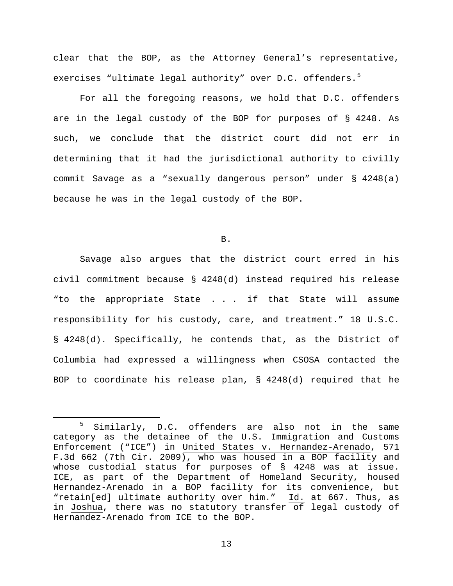clear that the BOP, as the Attorney General's representative, exercises "ultimate legal authority" over D.C. offenders.<sup>[5](#page-12-0)</sup>

For all the foregoing reasons, we hold that D.C. offenders are in the legal custody of the BOP for purposes of § 4248. As such, we conclude that the district court did not err in determining that it had the jurisdictional authority to civilly commit Savage as a "sexually dangerous person" under § 4248(a) because he was in the legal custody of the BOP.

B.

Savage also argues that the district court erred in his civil commitment because § 4248(d) instead required his release "to the appropriate State . . . if that State will assume responsibility for his custody, care, and treatment." 18 U.S.C. § 4248(d). Specifically, he contends that, as the District of Columbia had expressed a willingness when CSOSA contacted the BOP to coordinate his release plan, § 4248(d) required that he

<span id="page-12-0"></span><sup>&</sup>lt;sup>5</sup> Similarly, D.C. offenders are also not in the same category as the detainee of the U.S. Immigration and Customs Enforcement ("ICE") in United States v. Hernandez-Arenado, 571 F.3d 662 (7th Cir. 2009), who was housed in a BOP facility and whose custodial status for purposes of § 4248 was at issue. ICE, as part of the Department of Homeland Security, housed Hernandez-Arenado in a BOP facility for its convenience, but "retain[ed] ultimate authority over him." Id. at 667. Thus, as in Joshua, there was no statutory transfer of legal custody of Hernandez-Arenado from ICE to the BOP.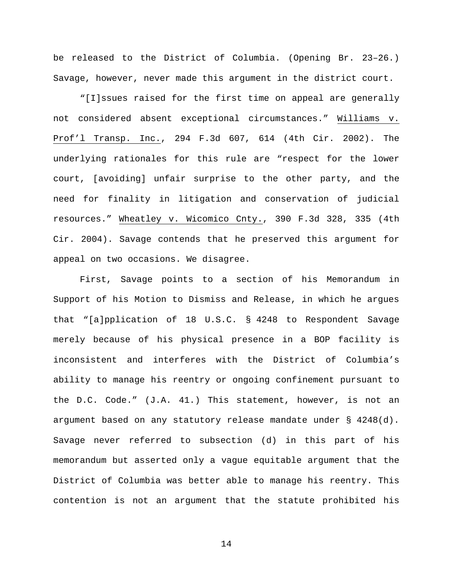be released to the District of Columbia. (Opening Br. 23–26.) Savage, however, never made this argument in the district court.

"[I]ssues raised for the first time on appeal are generally not considered absent exceptional circumstances." Williams v. Prof'l Transp. Inc., 294 F.3d 607, 614 (4th Cir. 2002). The underlying rationales for this rule are "respect for the lower court, [avoiding] unfair surprise to the other party, and the need for finality in litigation and conservation of judicial resources." Wheatley v. Wicomico Cnty., 390 F.3d 328, 335 (4th Cir. 2004). Savage contends that he preserved this argument for appeal on two occasions. We disagree.

First, Savage points to a section of his Memorandum in Support of his Motion to Dismiss and Release, in which he argues that "[a]pplication of 18 U.S.C. § 4248 to Respondent Savage merely because of his physical presence in a BOP facility is inconsistent and interferes with the District of Columbia's ability to manage his reentry or ongoing confinement pursuant to the D.C. Code." (J.A. 41.) This statement, however, is not an argument based on any statutory release mandate under § 4248(d). Savage never referred to subsection (d) in this part of his memorandum but asserted only a vague equitable argument that the District of Columbia was better able to manage his reentry. This contention is not an argument that the statute prohibited his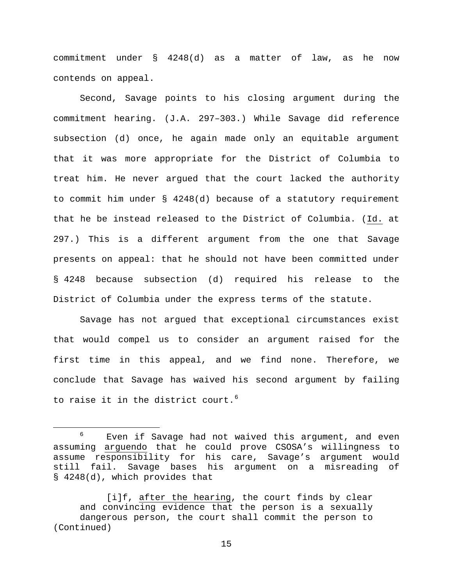commitment under § 4248(d) as a matter of law, as he now contends on appeal.

Second, Savage points to his closing argument during the commitment hearing. (J.A. 297–303.) While Savage did reference subsection (d) once, he again made only an equitable argument that it was more appropriate for the District of Columbia to treat him. He never argued that the court lacked the authority to commit him under § 4248(d) because of a statutory requirement that he be instead released to the District of Columbia. (Id. at 297.) This is a different argument from the one that Savage presents on appeal: that he should not have been committed under § 4248 because subsection (d) required his release to the District of Columbia under the express terms of the statute.

Savage has not argued that exceptional circumstances exist that would compel us to consider an argument raised for the first time in this appeal, and we find none. Therefore, we conclude that Savage has waived his second argument by failing to raise it in the district court.<sup>[6](#page-14-0)</sup>

<span id="page-14-0"></span> $6$  Even if Savage had not waived this argument, and even assuming arguendo that he could prove CSOSA's willingness to assume responsibility for his care, Savage's argument would still fail. Savage bases his argument on a misreading of § 4248(d), which provides that

<sup>[</sup>i]f, after the hearing, the court finds by clear and convincing evidence that the person is a sexually dangerous person, the court shall commit the person to (Continued)